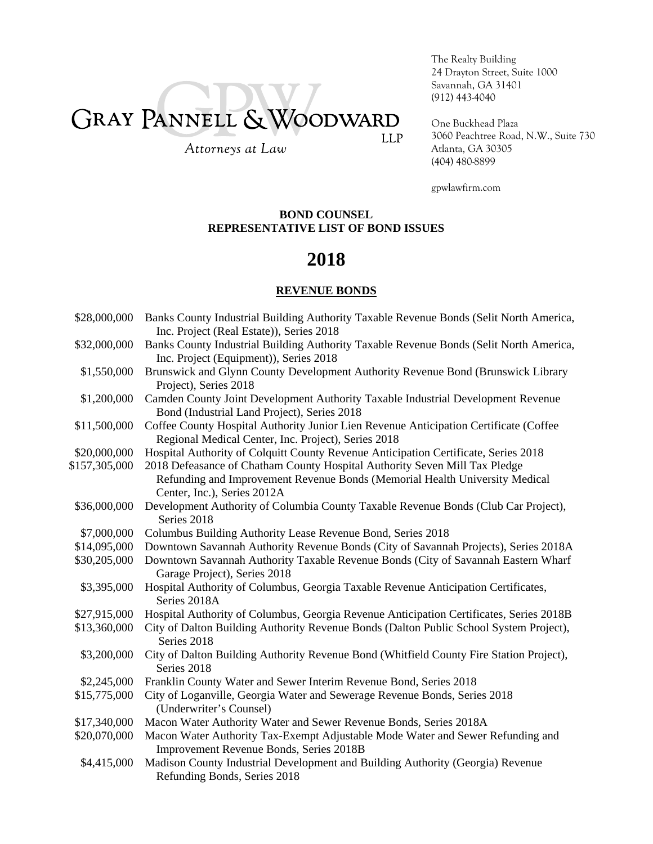# GRAY PANNELL & WOODWARD **LLP**

The Realty Building 24 Drayton Street, Suite 1000 Savannah, GA 31401 (912) 443-4040

One Buckhead Plaza 3060 Peachtree Road, N.W., Suite 730 Atlanta, GA 30305 (404) 480-8899

Attorneys at Law

### gpwlawfirm.com

### **BOND COUNSEL REPRESENTATIVE LIST OF BOND ISSUES**

## **2018**

### **REVENUE BONDS**

| \$28,000,000  | Banks County Industrial Building Authority Taxable Revenue Bonds (Selit North America,<br>Inc. Project (Real Estate)), Series 2018 |
|---------------|------------------------------------------------------------------------------------------------------------------------------------|
| \$32,000,000  | Banks County Industrial Building Authority Taxable Revenue Bonds (Selit North America,<br>Inc. Project (Equipment)), Series 2018   |
|               |                                                                                                                                    |
| \$1,550,000   | Brunswick and Glynn County Development Authority Revenue Bond (Brunswick Library<br>Project), Series 2018                          |
| \$1,200,000   | Camden County Joint Development Authority Taxable Industrial Development Revenue<br>Bond (Industrial Land Project), Series 2018    |
| \$11,500,000  | Coffee County Hospital Authority Junior Lien Revenue Anticipation Certificate (Coffee                                              |
|               | Regional Medical Center, Inc. Project), Series 2018                                                                                |
| \$20,000,000  | Hospital Authority of Colquitt County Revenue Anticipation Certificate, Series 2018                                                |
| \$157,305,000 | 2018 Defeasance of Chatham County Hospital Authority Seven Mill Tax Pledge                                                         |
|               | Refunding and Improvement Revenue Bonds (Memorial Health University Medical<br>Center, Inc.), Series 2012A                         |
| \$36,000,000  | Development Authority of Columbia County Taxable Revenue Bonds (Club Car Project),<br>Series 2018                                  |
| \$7,000,000   | Columbus Building Authority Lease Revenue Bond, Series 2018                                                                        |
| \$14,095,000  | Downtown Savannah Authority Revenue Bonds (City of Savannah Projects), Series 2018A                                                |
| \$30,205,000  | Downtown Savannah Authority Taxable Revenue Bonds (City of Savannah Eastern Wharf<br>Garage Project), Series 2018                  |
| \$3,395,000   | Hospital Authority of Columbus, Georgia Taxable Revenue Anticipation Certificates,<br>Series 2018A                                 |
| \$27,915,000  | Hospital Authority of Columbus, Georgia Revenue Anticipation Certificates, Series 2018B                                            |
| \$13,360,000  | City of Dalton Building Authority Revenue Bonds (Dalton Public School System Project),<br>Series 2018                              |
| \$3,200,000   | City of Dalton Building Authority Revenue Bond (Whitfield County Fire Station Project),<br>Series 2018                             |
| \$2,245,000   | Franklin County Water and Sewer Interim Revenue Bond, Series 2018                                                                  |
| \$15,775,000  | City of Loganville, Georgia Water and Sewerage Revenue Bonds, Series 2018<br>(Underwriter's Counsel)                               |
| \$17,340,000  | Macon Water Authority Water and Sewer Revenue Bonds, Series 2018A                                                                  |
| \$20,070,000  | Macon Water Authority Tax-Exempt Adjustable Mode Water and Sewer Refunding and                                                     |
|               | Improvement Revenue Bonds, Series 2018B                                                                                            |
| \$4,415,000   | Madison County Industrial Development and Building Authority (Georgia) Revenue<br>Refunding Bonds, Series 2018                     |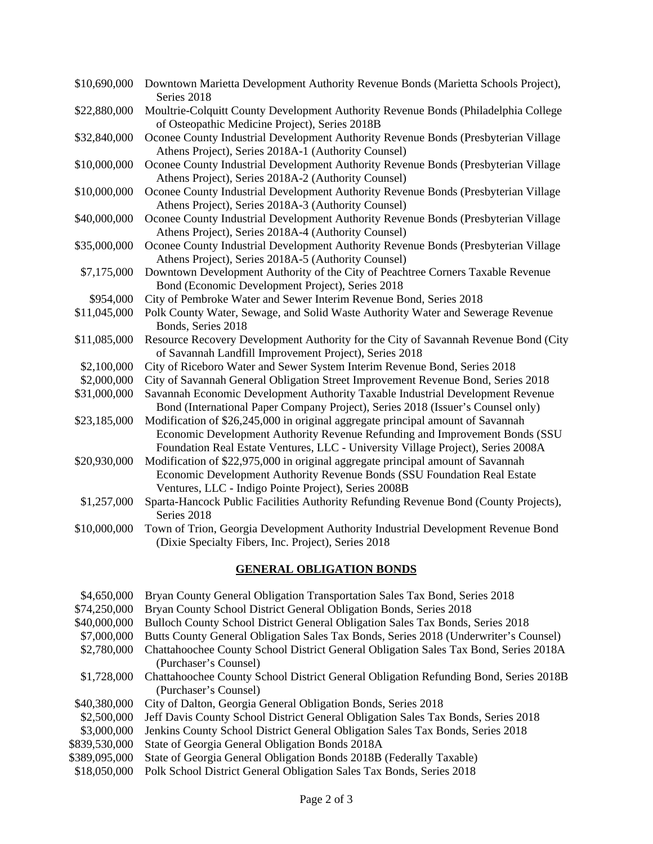| \$10,690,000 | Downtown Marietta Development Authority Revenue Bonds (Marietta Schools Project),<br>Series 2018                                                                                                                                                   |
|--------------|----------------------------------------------------------------------------------------------------------------------------------------------------------------------------------------------------------------------------------------------------|
| \$22,880,000 | Moultrie-Colquitt County Development Authority Revenue Bonds (Philadelphia College<br>of Osteopathic Medicine Project), Series 2018B                                                                                                               |
| \$32,840,000 | Oconee County Industrial Development Authority Revenue Bonds (Presbyterian Village<br>Athens Project), Series 2018A-1 (Authority Counsel)                                                                                                          |
| \$10,000,000 | Oconee County Industrial Development Authority Revenue Bonds (Presbyterian Village<br>Athens Project), Series 2018A-2 (Authority Counsel)                                                                                                          |
| \$10,000,000 | Oconee County Industrial Development Authority Revenue Bonds (Presbyterian Village<br>Athens Project), Series 2018A-3 (Authority Counsel)                                                                                                          |
| \$40,000,000 | Oconee County Industrial Development Authority Revenue Bonds (Presbyterian Village<br>Athens Project), Series 2018A-4 (Authority Counsel)                                                                                                          |
| \$35,000,000 | Oconee County Industrial Development Authority Revenue Bonds (Presbyterian Village<br>Athens Project), Series 2018A-5 (Authority Counsel)                                                                                                          |
| \$7,175,000  | Downtown Development Authority of the City of Peachtree Corners Taxable Revenue<br>Bond (Economic Development Project), Series 2018                                                                                                                |
| \$954,000    | City of Pembroke Water and Sewer Interim Revenue Bond, Series 2018                                                                                                                                                                                 |
| \$11,045,000 | Polk County Water, Sewage, and Solid Waste Authority Water and Sewerage Revenue<br>Bonds, Series 2018                                                                                                                                              |
| \$11,085,000 | Resource Recovery Development Authority for the City of Savannah Revenue Bond (City<br>of Savannah Landfill Improvement Project), Series 2018                                                                                                      |
| \$2,100,000  | City of Riceboro Water and Sewer System Interim Revenue Bond, Series 2018                                                                                                                                                                          |
| \$2,000,000  | City of Savannah General Obligation Street Improvement Revenue Bond, Series 2018                                                                                                                                                                   |
| \$31,000,000 | Savannah Economic Development Authority Taxable Industrial Development Revenue<br>Bond (International Paper Company Project), Series 2018 (Issuer's Counsel only)                                                                                  |
| \$23,185,000 | Modification of \$26,245,000 in original aggregate principal amount of Savannah<br>Economic Development Authority Revenue Refunding and Improvement Bonds (SSU<br>Foundation Real Estate Ventures, LLC - University Village Project), Series 2008A |
| \$20,930,000 | Modification of \$22,975,000 in original aggregate principal amount of Savannah<br>Economic Development Authority Revenue Bonds (SSU Foundation Real Estate<br>Ventures, LLC - Indigo Pointe Project), Series 2008B                                |
| \$1,257,000  | Sparta-Hancock Public Facilities Authority Refunding Revenue Bond (County Projects),<br>Series 2018                                                                                                                                                |
| \$10,000,000 | Town of Trion, Georgia Development Authority Industrial Development Revenue Bond<br>(Dixie Specialty Fibers, Inc. Project), Series 2018                                                                                                            |

### **GENERAL OBLIGATION BONDS**

| \$4,650,000   | Bryan County General Obligation Transportation Sales Tax Bond, Series 2018           |
|---------------|--------------------------------------------------------------------------------------|
| \$74,250,000  | Bryan County School District General Obligation Bonds, Series 2018                   |
| \$40,000,000  | Bulloch County School District General Obligation Sales Tax Bonds, Series 2018       |
| \$7,000,000   | Butts County General Obligation Sales Tax Bonds, Series 2018 (Underwriter's Counsel) |
| \$2,780,000   | Chattahoochee County School District General Obligation Sales Tax Bond, Series 2018A |
|               | (Purchaser's Counsel)                                                                |
| \$1,728,000   | Chattahoochee County School District General Obligation Refunding Bond, Series 2018B |
|               | (Purchaser's Counsel)                                                                |
| \$40,380,000  | City of Dalton, Georgia General Obligation Bonds, Series 2018                        |
| \$2,500,000   | Jeff Davis County School District General Obligation Sales Tax Bonds, Series 2018    |
| \$3,000,000   | Jenkins County School District General Obligation Sales Tax Bonds, Series 2018       |
| \$839,530,000 | State of Georgia General Obligation Bonds 2018A                                      |
| \$389,095,000 | State of Georgia General Obligation Bonds 2018B (Federally Taxable)                  |
| \$18,050,000  | Polk School District General Obligation Sales Tax Bonds, Series 2018                 |
|               |                                                                                      |